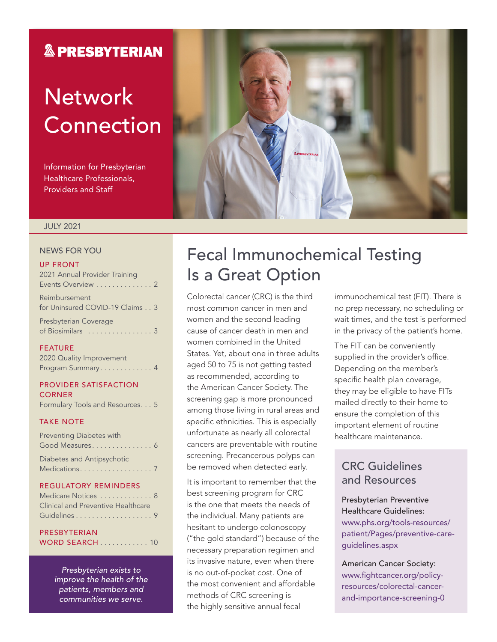### **& PRESBYTERIAN**

# **Network** Connection

Information for Presbyterian Healthcare Professionals, Providers and Staff



#### JULY 2021

#### NEWS FOR YOU

#### UP FRONT

| 2021 Annual Provider Training                     |
|---------------------------------------------------|
| Events Overview 2                                 |
| Reimbursement<br>for Uninsured COVID-19 Claims 3  |
| <b>Presbyterian Coverage</b><br>of Biosimilars  3 |

#### FEATURE

| 2020 Quality Improvement |  |  |  |  |  |  |  |
|--------------------------|--|--|--|--|--|--|--|
| Program Summary 4        |  |  |  |  |  |  |  |

#### PROVIDER SATISFACTION **CORNER**

Formulary Tools and Resources . . . 5

#### TAKE NOTE

| Preventing Diabetes with   |  |
|----------------------------|--|
| Good Measures 6            |  |
| Diabetes and Antipsychotic |  |
|                            |  |

#### REGULATORY REMINDERS

| Medicare Notices  8                |
|------------------------------------|
| Clinical and Preventive Healthcare |
|                                    |

#### PRESBYTERIAN WORD SEARCH . . . . . . . . . . . . 10

*Presbyterian exists to improve the health of the patients, members and communities we serve.*

### Fecal Immunochemical Testing Is a Great Option

Colorectal cancer (CRC) is the third most common cancer in men and women and the second leading cause of cancer death in men and women combined in the United States. Yet, about one in three adults aged 50 to 75 is not getting tested as recommended, according to the American Cancer Society. The screening gap is more pronounced among those living in rural areas and specific ethnicities. This is especially unfortunate as nearly all colorectal cancers are preventable with routine screening. Precancerous polyps can be removed when detected early.

It is important to remember that the best screening program for CRC is the one that meets the needs of the individual. Many patients are hesitant to undergo colonoscopy ("the gold standard") because of the necessary preparation regimen and its invasive nature, even when there is no out-of-pocket cost. One of the most convenient and affordable methods of CRC screening is the highly sensitive annual fecal

immunochemical test (FIT). There is no prep necessary, no scheduling or wait times, and the test is performed in the privacy of the patient's home.

The FIT can be conveniently supplied in the provider's office. Depending on the member's specific health plan coverage, they may be eligible to have FITs mailed directly to their home to ensure the completion of this important element of routine healthcare maintenance.

### CRC Guidelines and Resources

### Presbyterian Preventive Healthcare Guidelines: [www.phs.org/tools-resources/](http://www.phs.org/tools-resources/patient/Pages/preventive-care-guidelines.aspx)

[patient/Pages/preventive-care](http://www.phs.org/tools-resources/patient/Pages/preventive-care-guidelines.aspx)[guidelines.aspx](http://www.phs.org/tools-resources/patient/Pages/preventive-care-guidelines.aspx)

American Cancer Society: [www.fightcancer.org/policy](http://www.fightcancer.org/policy-resources/colorectal-cancer-and-importance-screening-0)[resources/colorectal-cancer](http://www.fightcancer.org/policy-resources/colorectal-cancer-and-importance-screening-0)[and-importance-screening-0](http://www.fightcancer.org/policy-resources/colorectal-cancer-and-importance-screening-0)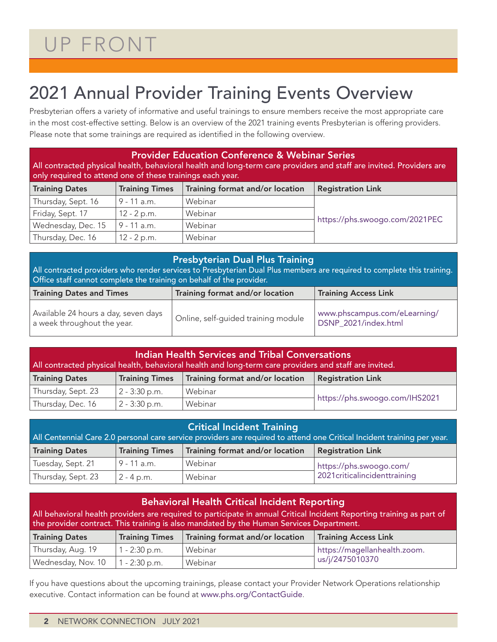# UP FRONT

## 2021 Annual Provider Training Events Overview

Presbyterian offers a variety of informative and useful trainings to ensure members receive the most appropriate care in the most cost-effective setting. Below is an overview of the 2021 training events Presbyterian is offering providers. Please note that some trainings are required as identified in the following overview.

| <b>Provider Education Conference &amp; Webinar Series</b><br>All contracted physical health, behavioral health and long-term care providers and staff are invited. Providers are<br>only required to attend one of these trainings each year. |                       |                                                             |                                |  |  |  |  |  |
|-----------------------------------------------------------------------------------------------------------------------------------------------------------------------------------------------------------------------------------------------|-----------------------|-------------------------------------------------------------|--------------------------------|--|--|--|--|--|
| <b>Training Dates</b>                                                                                                                                                                                                                         | <b>Training Times</b> | Training format and/or location<br><b>Registration Link</b> |                                |  |  |  |  |  |
| Thursday, Sept. 16                                                                                                                                                                                                                            | $9 - 11$ a.m.         | Webinar                                                     |                                |  |  |  |  |  |
| Friday, Sept. 17                                                                                                                                                                                                                              | 12 - 2 p.m.           | Webinar                                                     |                                |  |  |  |  |  |
| Wednesday, Dec. 15                                                                                                                                                                                                                            | 9 - 11 a.m.           | Webinar                                                     | https://phs.swoogo.com/2021PEC |  |  |  |  |  |
| Thursday, Dec. 16                                                                                                                                                                                                                             | $12 - 2 p.m.$         | Webinar                                                     |                                |  |  |  |  |  |

#### Presbyterian Dual Plus Training

All contracted providers who render services to Presbyterian Dual Plus members are required to complete this training. Office staff cannot complete the training on behalf of the provider.

| <b>Training Dates and Times</b>                                     | Training format and/or location     | Training Access Link                                 |  |  |  |  |
|---------------------------------------------------------------------|-------------------------------------|------------------------------------------------------|--|--|--|--|
| Available 24 hours a day, seven days<br>a week throughout the year. | Online, self-quided training module | www.phscampus.com/eLearning/<br>DSNP 2021/index.html |  |  |  |  |

| Indian Health Services and Tribal Conversations<br>All contracted physical health, behavioral health and long-term care providers and staff are invited. |                                                          |                          |                                |  |  |  |  |  |
|----------------------------------------------------------------------------------------------------------------------------------------------------------|----------------------------------------------------------|--------------------------|--------------------------------|--|--|--|--|--|
| <b>Training Dates</b>                                                                                                                                    | Training format and/or location<br><b>Training Times</b> | <b>Registration Link</b> |                                |  |  |  |  |  |
| Thursday, Sept. 23                                                                                                                                       | $2 - 3:30$ p.m.                                          | Webinar                  |                                |  |  |  |  |  |
| Thursday, Dec. 16                                                                                                                                        | $2 - 3:30$ p.m.                                          | Webinar                  | https://phs.swoogo.com/IHS2021 |  |  |  |  |  |

| <b>Critical Incident Training</b><br>All Centennial Care 2.0 personal care service providers are required to attend one Critical Incident training per year. |                                                          |                          |                                 |  |  |  |  |  |
|--------------------------------------------------------------------------------------------------------------------------------------------------------------|----------------------------------------------------------|--------------------------|---------------------------------|--|--|--|--|--|
| <b>Training Dates</b>                                                                                                                                        | <b>Training Times</b><br>Training format and/or location | <b>Registration Link</b> |                                 |  |  |  |  |  |
| Tuesday, Sept. 21                                                                                                                                            | 9 - 11 a.m.                                              | Webinar                  | https://phs.swoogo.com/         |  |  |  |  |  |
| Thursday, Sept. 23                                                                                                                                           | $2 - 4 p.m.$                                             | Webinar                  | 2021 critical incident training |  |  |  |  |  |

| <b>Behavioral Health Critical Incident Reporting</b><br>All behavioral health providers are required to participate in annual Critical Incident Reporting training as part of<br>the provider contract. This training is also mandated by the Human Services Department. |                       |                             |                              |  |  |  |  |  |
|--------------------------------------------------------------------------------------------------------------------------------------------------------------------------------------------------------------------------------------------------------------------------|-----------------------|-----------------------------|------------------------------|--|--|--|--|--|
| <b>Training Dates</b>                                                                                                                                                                                                                                                    | <b>Training Times</b> | <b>Training Access Link</b> |                              |  |  |  |  |  |
| Thursday, Aug. 19                                                                                                                                                                                                                                                        | $1 - 2:30$ p.m.       | Webinar                     | https://magellanhealth.zoom. |  |  |  |  |  |
| Wednesday, Nov. 10                                                                                                                                                                                                                                                       | $1 - 2:30$ p.m.       | Webinar                     | us/j/2475010370              |  |  |  |  |  |

If you have questions about the upcoming trainings, please contact your Provider Network Operations relationship executive. Contact information can be found at [www.phs.org/ContactGuide](http://www.phs.org/ContactGuide).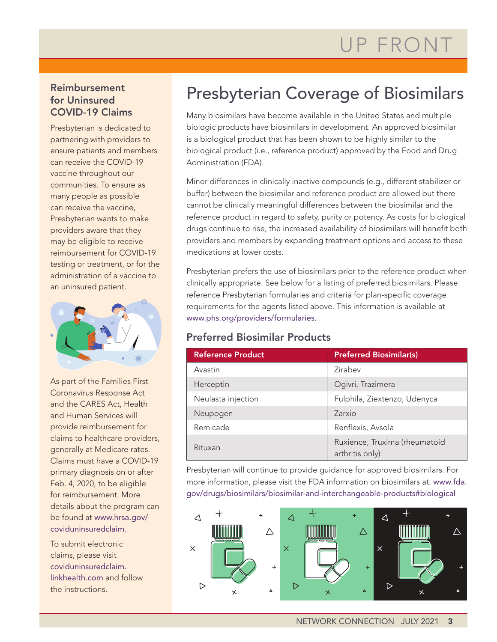#### Reimbursement for Uninsured COVID-19 Claims

Presbyterian is dedicated to partnering with providers to ensure patients and members can receive the COVID-19 vaccine throughout our communities. To ensure as many people as possible can receive the vaccine, Presbyterian wants to make providers aware that they may be eligible to receive reimbursement for COVID-19 testing or treatment, or for the administration of a vaccine to an uninsured patient.



As part of the Families First Coronavirus Response Act and the CARES Act, Health and Human Services will provide reimbursement for claims to healthcare providers, generally at Medicare rates. Claims must have a COVID-19 primary diagnosis on or after Feb. 4, 2020, to be eligible for reimbursement. More details about the program can be found at [www.hrsa.gov/](http://www.hrsa.gov/coviduninsuredclaim) [coviduninsuredclaim](http://www.hrsa.gov/coviduninsuredclaim).

To submit electronic claims, please visit [coviduninsuredclaim.](http://coviduninsuredclaim.linkhealth.com) [linkhealth.com](http://coviduninsuredclaim.linkhealth.com) and follow the instructions.

### Presbyterian Coverage of Biosimilars

Many biosimilars have become available in the United States and multiple biologic products have biosimilars in development. An approved biosimilar is a biological product that has been shown to be highly similar to the biological product (i.e., reference product) approved by the Food and Drug Administration (FDA).

Minor differences in clinically inactive compounds (e.g., different stabilizer or buffer) between the biosimilar and reference product are allowed but there cannot be clinically meaningful differences between the biosimilar and the reference product in regard to safety, purity or potency. As costs for biological drugs continue to rise, the increased availability of biosimilars will benefit both providers and members by expanding treatment options and access to these medications at lower costs.

Presbyterian prefers the use of biosimilars prior to the reference product when clinically appropriate. See below for a listing of preferred biosimilars. Please reference Presbyterian formularies and criteria for plan-specific coverage requirements for the agents listed above. This information is available at [www.phs.org/providers/formularies](http://www.phs.org/providers/formularies).

### Preferred Biosimilar Products

| <b>Reference Product</b> | <b>Preferred Biosimilar(s)</b>                   |
|--------------------------|--------------------------------------------------|
| Avastin                  | Zirabev                                          |
| Herceptin                | Ogivri, Trazimera                                |
| Neulasta injection       | Fulphila, Ziextenzo, Udenyca                     |
| Neupogen                 | Zarxio                                           |
| Remicade                 | Renflexis, Avsola                                |
| Rituxan                  | Ruxience, Truxima (rheumatoid<br>arthritis only) |

Presbyterian will continue to provide guidance for approved biosimilars. For more information, please visit the FDA information on biosimilars at: [www.fda.](http://www.fda.gov/drugs/biosimilars/biosimilar-and-interchangeable-products#biological) [gov/drugs/biosimilars/biosimilar-and-interchangeable-products#biological](http://www.fda.gov/drugs/biosimilars/biosimilar-and-interchangeable-products#biological)

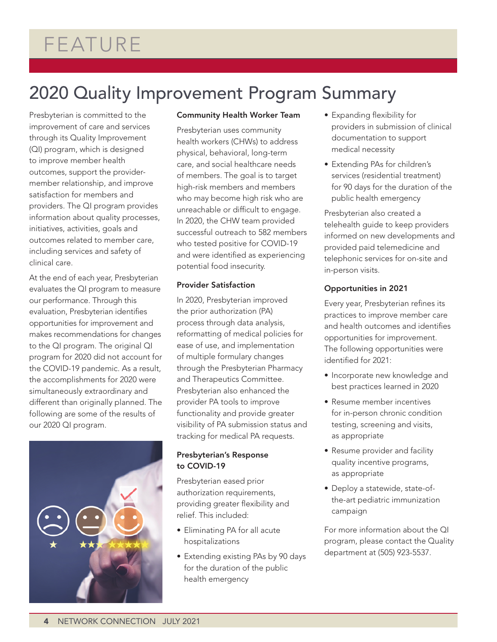# FEATURE

## 2020 Quality Improvement Program Summary

Presbyterian is committed to the improvement of care and services through its Quality Improvement (QI) program, which is designed to improve member health outcomes, support the providermember relationship, and improve satisfaction for members and providers. The QI program provides information about quality processes, initiatives, activities, goals and outcomes related to member care, including services and safety of clinical care.

At the end of each year, Presbyterian evaluates the QI program to measure our performance. Through this evaluation, Presbyterian identifies opportunities for improvement and makes recommendations for changes to the QI program. The original QI program for 2020 did not account for the COVID-19 pandemic. As a result, the accomplishments for 2020 were simultaneously extraordinary and different than originally planned. The following are some of the results of our 2020 QI program.



#### Community Health Worker Team

Presbyterian uses community health workers (CHWs) to address physical, behavioral, long-term care, and social healthcare needs of members. The goal is to target high-risk members and members who may become high risk who are unreachable or difficult to engage. In 2020, the CHW team provided successful outreach to 582 members who tested positive for COVID-19 and were identified as experiencing potential food insecurity.

#### Provider Satisfaction

In 2020, Presbyterian improved the prior authorization (PA) process through data analysis, reformatting of medical policies for ease of use, and implementation of multiple formulary changes through the Presbyterian Pharmacy and Therapeutics Committee. Presbyterian also enhanced the provider PA tools to improve functionality and provide greater visibility of PA submission status and tracking for medical PA requests.

#### Presbyterian's Response to COVID-19

Presbyterian eased prior authorization requirements, providing greater flexibility and relief. This included:

- Eliminating PA for all acute hospitalizations
- Extending existing PAs by 90 days for the duration of the public health emergency
- Expanding flexibility for providers in submission of clinical documentation to support medical necessity
- Extending PAs for children's services (residential treatment) for 90 days for the duration of the public health emergency

Presbyterian also created a telehealth guide to keep providers informed on new developments and provided paid telemedicine and telephonic services for on-site and in-person visits.

#### Opportunities in 2021

Every year, Presbyterian refines its practices to improve member care and health outcomes and identifies opportunities for improvement. The following opportunities were identified for 2021:

- Incorporate new knowledge and best practices learned in 2020
- Resume member incentives for in-person chronic condition testing, screening and visits, as appropriate
- Resume provider and facility quality incentive programs, as appropriate
- Deploy a statewide, state-ofthe-art pediatric immunization campaign

For more information about the QI program, please contact the Quality department at (505) 923-5537.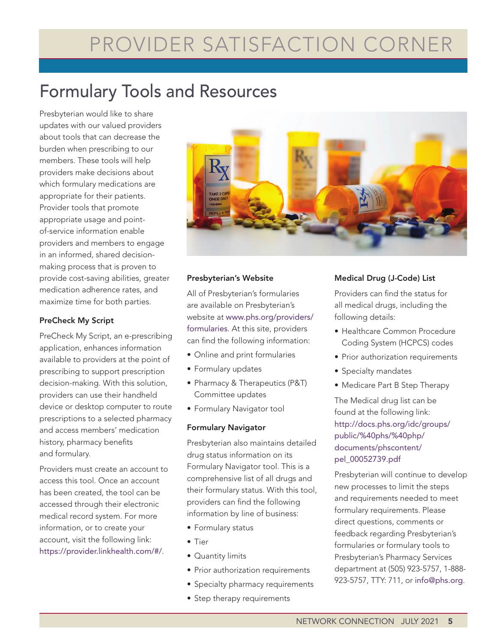# PROVIDER SATISFACTION CORNER

## Formulary Tools and Resources

Presbyterian would like to share updates with our valued providers about tools that can decrease the burden when prescribing to our members. These tools will help providers make decisions about which formulary medications are appropriate for their patients. Provider tools that promote appropriate usage and pointof-service information enable providers and members to engage in an informed, shared decisionmaking process that is proven to provide cost-saving abilities, greater medication adherence rates, and maximize time for both parties.

#### PreCheck My Script

PreCheck My Script, an e-prescribing application, enhances information available to providers at the point of prescribing to support prescription decision-making. With this solution, providers can use their handheld device or desktop computer to route prescriptions to a selected pharmacy and access members' medication history, pharmacy benefits and formulary.

Providers must create an account to access this tool. Once an account has been created, the tool can be accessed through their electronic medical record system. For more information, or to create your account, visit the following link: <https://provider.linkhealth.com/#/>.



#### Presbyterian's Website

All of Presbyterian's formularies are available on Presbyterian's website at [www.phs.org/providers/](http://www.phs.org/providers/formularies) [formularies](http://www.phs.org/providers/formularies). At this site, providers can find the following information:

- Online and print formularies
- Formulary updates
- Pharmacy & Therapeutics (P&T) Committee updates
- Formulary Navigator tool

#### Formulary Navigator

Presbyterian also maintains detailed drug status information on its Formulary Navigator tool. This is a comprehensive list of all drugs and their formulary status. With this tool, providers can find the following information by line of business:

- Formulary status
- Tier
- Quantity limits
- Prior authorization requirements
- Specialty pharmacy requirements
- Step therapy requirements

#### Medical Drug (J-Code) List

Providers can find the status for all medical drugs, including the following details:

- Healthcare Common Procedure Coding System (HCPCS) codes
- Prior authorization requirements
- Specialty mandates
- Medicare Part B Step Therapy

The Medical drug list can be found at the following link: [http://docs.phs.org/idc/groups/](http://docs.phs.org/idc/groups/public/%40phs/%40php/documents/phscontent/pel_00052739.pdf) [public/%40phs/%40php/](http://docs.phs.org/idc/groups/public/%40phs/%40php/documents/phscontent/pel_00052739.pdf) [documents/phscontent/](http://docs.phs.org/idc/groups/public/%40phs/%40php/documents/phscontent/pel_00052739.pdf) [pel\\_00052739.pdf](http://docs.phs.org/idc/groups/public/%40phs/%40php/documents/phscontent/pel_00052739.pdf) 

Presbyterian will continue to develop new processes to limit the steps and requirements needed to meet formulary requirements. Please direct questions, comments or feedback regarding Presbyterian's formularies or formulary tools to Presbyterian's Pharmacy Services department at (505) 923-5757, 1-888- 923-5757, TTY: 711, or [info@phs.org](mailto:info@phs.org).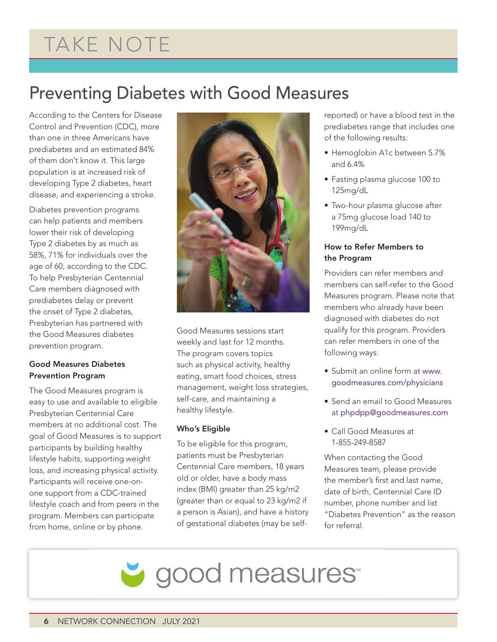# TAKE NOTE

### Preventing Diabetes with Good Measures

According to the Centers for Disease Control and Prevention (CDC), more than one in three Americans have prediabetes and an estimated 84% of them don't know it. This large population is at increased risk of developing Type 2 diabetes, heart disease, and experiencing a stroke.

Diabetes prevention programs can help patients and members lower their risk of developing Type 2 diabetes by as much as 58%, 71% for individuals over the age of 60, according to the CDC. To help Presbyterian Centennial Care members diagnosed with prediabetes delay or prevent the onset of Type 2 diabetes, Presbyterian has partnered with the Good Measures diabetes prevention program.

#### Good Measures Diabetes Prevention Program

The Good Measures program is easy to use and available to eligible Presbyterian Centennial Care members at no additional cost. The goal of Good Measures is to support participants by building healthy lifestyle habits, supporting weight loss, and increasing physical activity. Participants will receive one-onone support from a CDC-trained lifestyle coach and from peers in the program. Members can participate from home, online or by phone.



Good Measures sessions start weekly and last for 12 months. The program covers topics such as physical activity, healthy eating, smart food choices, stress management, weight loss strategies, self-care, and maintaining a healthy lifestyle.

#### Who's Eligible

To be eligible for this program, patients must be Presbyterian Centennial Care members, 18 years old or older, have a body mass index (BMI) greater than 25 kg/m2 (greater than or equal to 23 kg/m2 if a person is Asian), and have a history of gestational diabetes (may be selfreported) or have a blood test in the prediabetes range that includes one of the following results:

- Hemoglobin A1c between 5.7% and 6.4%
- Fasting plasma glucose 100 to 125mg/dL
- Two-hour plasma glucose after a 75mg glucose load 140 to 199mg/dL

#### How to Refer Members to the Program

Providers can refer members and members can self-refer to the Good Measures program. Please note that members who already have been diagnosed with diabetes do not qualify for this program. Providers can refer members in one of the following ways:

- Submit an online form at [www.](http://www.goodmeasures.com/physicians) [goodmeasures.com/physicians](http://www.goodmeasures.com/physicians)
- Send an email to Good Measures at [phpdpp@goodmeasures.com](mailto:phpdpp@goodmeasures.com)
- Call Good Measures at 1-855-249-8587

When contacting the Good Measures team, please provide the member's first and last name, date of birth, Centennial Care ID number, phone number and list "Diabetes Prevention" as the reason for referral.

good measures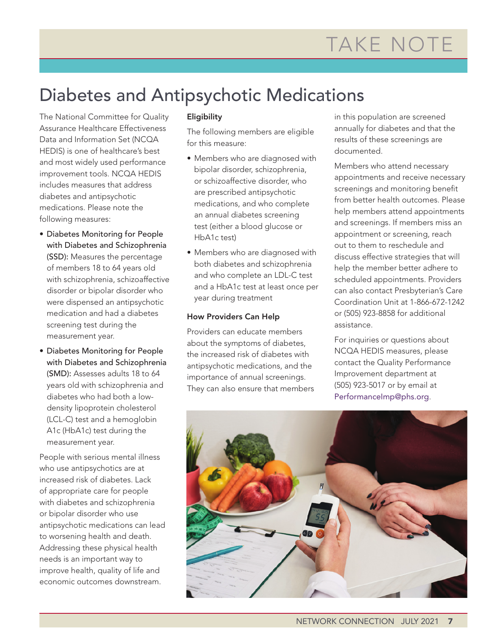## Diabetes and Antipsychotic Medications

The National Committee for Quality Assurance Healthcare Effectiveness Data and Information Set (NCQA HEDIS) is one of healthcare's best and most widely used performance improvement tools. NCQA HEDIS includes measures that address diabetes and antipsychotic medications. Please note the following measures:

- Diabetes Monitoring for People with Diabetes and Schizophrenia (SSD): Measures the percentage of members 18 to 64 years old with schizophrenia, schizoaffective disorder or bipolar disorder who were dispensed an antipsychotic medication and had a diabetes screening test during the measurement year.
- Diabetes Monitoring for People with Diabetes and Schizophrenia (SMD): Assesses adults 18 to 64 years old with schizophrenia and diabetes who had both a lowdensity lipoprotein cholesterol (LCL-C) test and a hemoglobin A1c (HbA1c) test during the measurement year.

People with serious mental illness who use antipsychotics are at increased risk of diabetes. Lack of appropriate care for people with diabetes and schizophrenia or bipolar disorder who use antipsychotic medications can lead to worsening health and death. Addressing these physical health needs is an important way to improve health, quality of life and economic outcomes downstream.

#### **Eligibility**

The following members are eligible for this measure:

- Members who are diagnosed with bipolar disorder, schizophrenia, or schizoaffective disorder, who are prescribed antipsychotic medications, and who complete an annual diabetes screening test (either a blood glucose or HbA1c test)
- Members who are diagnosed with both diabetes and schizophrenia and who complete an LDL-C test and a HbA1c test at least once per year during treatment

#### How Providers Can Help

Providers can educate members about the symptoms of diabetes, the increased risk of diabetes with antipsychotic medications, and the importance of annual screenings. They can also ensure that members in this population are screened annually for diabetes and that the results of these screenings are documented.

Members who attend necessary appointments and receive necessary screenings and monitoring benefit from better health outcomes. Please help members attend appointments and screenings. If members miss an appointment or screening, reach out to them to reschedule and discuss effective strategies that will help the member better adhere to scheduled appointments. Providers can also contact Presbyterian's Care Coordination Unit at 1-866-672-1242 or (505) 923-8858 for additional assistance.

For inquiries or questions about NCQA HEDIS measures, please contact the Quality Performance Improvement department at (505) 923-5017 or by email at [PerformanceImp@phs.org](mailto:PerformanceImp@phs.org).

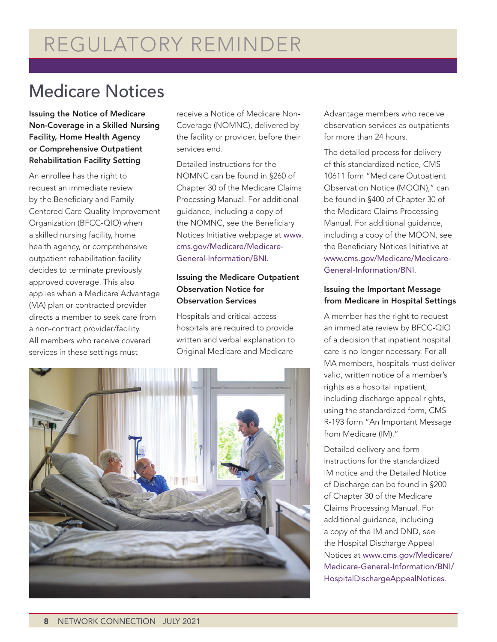### Medicare Notices

Issuing the Notice of Medicare Non-Coverage in a Skilled Nursing Facility, Home Health Agency or Comprehensive Outpatient Rehabilitation Facility Setting

An enrollee has the right to request an immediate review by the Beneficiary and Family Centered Care Quality Improvement Organization (BFCC-QIO) when a skilled nursing facility, home health agency, or comprehensive outpatient rehabilitation facility decides to terminate previously approved coverage. This also applies when a Medicare Advantage (MA) plan or contracted provider directs a member to seek care from a non-contract provider/facility. All members who receive covered services in these settings must

receive a Notice of Medicare Non-Coverage (NOMNC), delivered by the facility or provider, before their services end.

Detailed instructions for the NOMNC can be found in §260 of Chapter 30 of the Medicare Claims Processing Manual. For additional guidance, including a copy of the NOMNC, see the Beneficiary Notices Initiative webpage at [www.](http://www.cms.gov/Medicare/Medicare-General-Information/BNI) [cms.gov/Medicare/Medicare-](http://www.cms.gov/Medicare/Medicare-General-Information/BNI)[General-Information/BNI.](http://www.cms.gov/Medicare/Medicare-General-Information/BNI)

#### Issuing the Medicare Outpatient Observation Notice for Observation Services

Hospitals and critical access hospitals are required to provide written and verbal explanation to Original Medicare and Medicare



Advantage members who receive observation services as outpatients for more than 24 hours.

The detailed process for delivery of this standardized notice, CMS-10611 form "Medicare Outpatient Observation Notice (MOON)," can be found in §400 of Chapter 30 of the Medicare Claims Processing Manual. For additional guidance, including a copy of the MOON, see the Beneficiary Notices Initiative at [www.cms.gov/Medicare/Medicare-](http://www.cms.gov/Medicare/Medicare-General-Information/BNI)[General-Information/BNI](http://www.cms.gov/Medicare/Medicare-General-Information/BNI).

#### Issuing the Important Message from Medicare in Hospital Settings

A member has the right to request an immediate review by BFCC-QIO of a decision that inpatient hospital care is no longer necessary. For all MA members, hospitals must deliver valid, written notice of a member's rights as a hospital inpatient, including discharge appeal rights, using the standardized form, CMS R-193 form "An Important Message from Medicare (IM)."

Detailed delivery and form instructions for the standardized IM notice and the Detailed Notice of Discharge can be found in §200 of Chapter 30 of the Medicare Claims Processing Manual. For additional guidance, including a copy of the IM and DND, see the Hospital Discharge Appeal Notices at [www.cms.gov/Medicare/](http://www.cms.gov/Medicare/Medicare-General-Information/BNI/HospitalDischargeAppealNotices) [Medicare-General-Information/BNI/](http://www.cms.gov/Medicare/Medicare-General-Information/BNI/HospitalDischargeAppealNotices) [HospitalDischargeAppealNotices](http://www.cms.gov/Medicare/Medicare-General-Information/BNI/HospitalDischargeAppealNotices).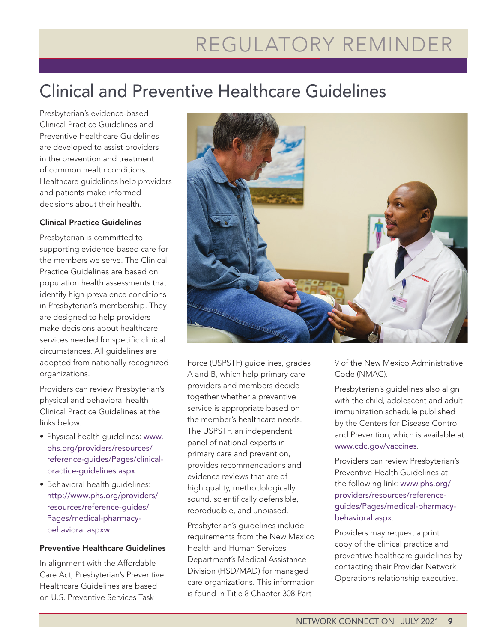# REGULATORY REMINDER

## Clinical and Preventive Healthcare Guidelines

Presbyterian's evidence-based Clinical Practice Guidelines and Preventive Healthcare Guidelines are developed to assist providers in the prevention and treatment of common health conditions. Healthcare guidelines help providers and patients make informed decisions about their health.

#### Clinical Practice Guidelines

Presbyterian is committed to supporting evidence-based care for the members we serve. The Clinical Practice Guidelines are based on population health assessments that identify high-prevalence conditions in Presbyterian's membership. They are designed to help providers make decisions about healthcare services needed for specific clinical circumstances. All guidelines are adopted from nationally recognized organizations.

Providers can review Presbyterian's physical and behavioral health Clinical Practice Guidelines at the links below.

- Physical health guidelines: [www.](http://www.phs.org/providers/resources/reference-guides/Pages/clinical-practice-guidelines.aspx) [phs.org/providers/resources/](http://www.phs.org/providers/resources/reference-guides/Pages/clinical-practice-guidelines.aspx) [reference-guides/Pages/clinical](http://www.phs.org/providers/resources/reference-guides/Pages/clinical-practice-guidelines.aspx)[practice-guidelines.aspx](http://www.phs.org/providers/resources/reference-guides/Pages/clinical-practice-guidelines.aspx)
- Behavioral health guidelines: [http://www.phs.org/providers/](http://www.phs.org/providers/resources/reference-guides/Pages/medical-pharmacy-behavioral.aspxw) [resources/reference-guides/](http://www.phs.org/providers/resources/reference-guides/Pages/medical-pharmacy-behavioral.aspxw) [Pages/medical-pharmacy](http://www.phs.org/providers/resources/reference-guides/Pages/medical-pharmacy-behavioral.aspxw)[behavioral.aspxw](http://www.phs.org/providers/resources/reference-guides/Pages/medical-pharmacy-behavioral.aspxw)

#### Preventive Healthcare Guidelines

In alignment with the Affordable Care Act, Presbyterian's Preventive Healthcare Guidelines are based on U.S. Preventive Services Task



Force (USPSTF) guidelines, grades A and B, which help primary care providers and members decide together whether a preventive service is appropriate based on the member's healthcare needs. The USPSTF, an independent panel of national experts in primary care and prevention, provides recommendations and evidence reviews that are of high quality, methodologically sound, scientifically defensible, reproducible, and unbiased.

Presbyterian's guidelines include requirements from the New Mexico Health and Human Services Department's Medical Assistance Division (HSD/MAD) for managed care organizations. This information is found in Title 8 Chapter 308 Part

9 of the New Mexico Administrative Code (NMAC).

Presbyterian's guidelines also align with the child, adolescent and adult immunization schedule published by the Centers for Disease Control and Prevention, which is available at [www.cdc.gov/vaccines](http://www.cdc.gov/vaccines).

Providers can review Presbyterian's Preventive Health Guidelines at the following link: [www.phs.org/](http://www.phs.org/providers/resources/reference-guides/Pages/medical-pharmacy-behavioral.aspx) [providers/resources/reference](http://www.phs.org/providers/resources/reference-guides/Pages/medical-pharmacy-behavioral.aspx)[guides/Pages/medical-pharmacy](http://www.phs.org/providers/resources/reference-guides/Pages/medical-pharmacy-behavioral.aspx)[behavioral.aspx](http://www.phs.org/providers/resources/reference-guides/Pages/medical-pharmacy-behavioral.aspx).

Providers may request a print copy of the clinical practice and preventive healthcare guidelines by contacting their Provider Network Operations relationship executive.